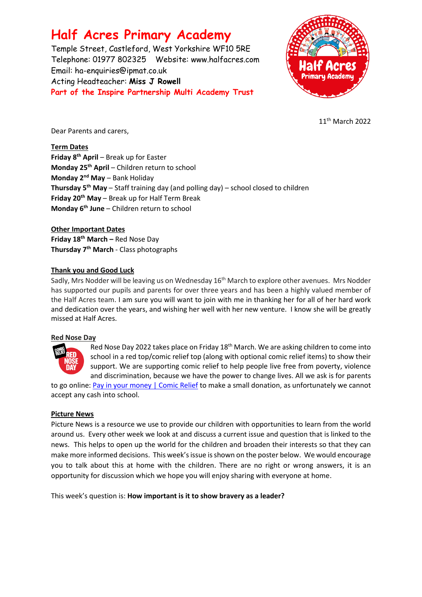# **Half Acres Primary Academy**

Temple Street, Castleford, West Yorkshire WF10 5RE Telephone: 01977 802325 Website: [www.halfacres.com](http://www.halfacres.com/) Email: ha-enquiries@ipmat.co.uk Acting Headteacher: **Miss J Rowell Part of the Inspire Partnership Multi Academy Trust**



11th March 2022

Dear Parents and carers,

**Term Dates**

**Friday 8th April** – Break up for Easter **Monday 25th April** – Children return to school **Monday 2nd May** – Bank Holiday **Thursday 5th May** – Staff training day (and polling day) – school closed to children **Friday 20th May** – Break up for Half Term Break **Monday 6th June** – Children return to school

**Other Important Dates Friday 18th March –** Red Nose Day **Thursday 7th March** - Class photographs

## **Thank you and Good Luck**

Sadly, Mrs Nodder will be leaving us on Wednesday 16th March to explore other avenues. Mrs Nodder has supported our pupils and parents for over three years and has been a highly valued member of the Half Acres team. I am sure you will want to join with me in thanking her for all of her hard work and dedication over the years, and wishing her well with her new venture. I know she will be greatly missed at Half Acres.

## **Red Nose Day**



Red Nose Day 2022 takes place on Friday 18<sup>th</sup> March. We are asking children to come into school in a red top/comic relief top (along with optional comic relief items) to show their support. We are supporting comic relief to help people live free from poverty, violence and discrimination, because we have the power to change lives. All we ask is for parents

to go online: [Pay in your money | Comic Relief](https://www.comicrelief.com/rednoseday/fundraise/pay-in-your-money) to make a small donation, as unfortunately we cannot accept any cash into school.

## **Picture News**

Picture News is a resource we use to provide our children with opportunities to learn from the world around us. Every other week we look at and discuss a current issue and question that is linked to the news. This helps to open up the world for the children and broaden their interests so that they can make more informed decisions. This week's issue is shown on the poster below. We would encourage you to talk about this at home with the children. There are no right or wrong answers, it is an opportunity for discussion which we hope you will enjoy sharing with everyone at home.

This week's question is: **How important is it to show bravery as a leader?**